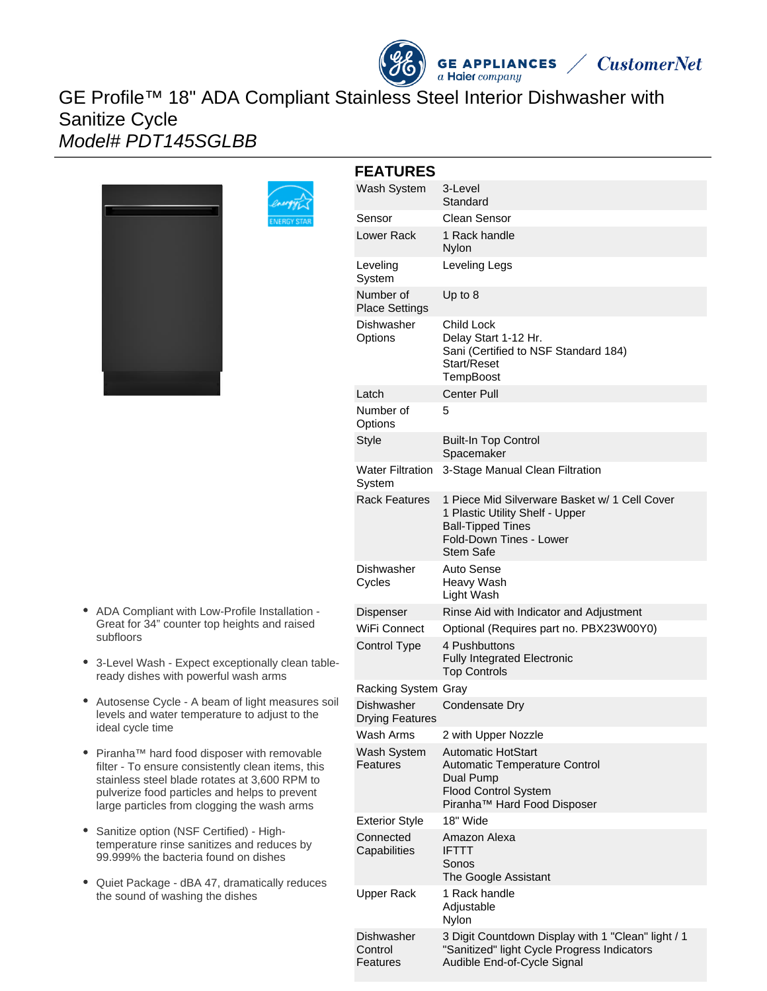# GE Profile™ 18" ADA Compliant Stainless Steel Interior Dishwasher with Sanitize Cycle Model# PDT145SGLBB



| <b>FEATURES</b>                      |                                                                                                                                                             |  |
|--------------------------------------|-------------------------------------------------------------------------------------------------------------------------------------------------------------|--|
| Wash System                          | 3-Level<br>Standard                                                                                                                                         |  |
| Sensor                               | Clean Sensor                                                                                                                                                |  |
| Lower Rack                           | 1 Rack handle<br>Nylon                                                                                                                                      |  |
| Leveling<br>System                   | Leveling Legs                                                                                                                                               |  |
| Number of<br><b>Place Settings</b>   | Up to 8                                                                                                                                                     |  |
| Dishwasher<br>Options                | Child Lock<br>Delay Start 1-12 Hr.<br>Sani (Certified to NSF Standard 184)<br>Start/Reset<br>TempBoost                                                      |  |
| Latch                                | <b>Center Pull</b>                                                                                                                                          |  |
| Number of<br>Options                 | 5                                                                                                                                                           |  |
| <b>Style</b>                         | <b>Built-In Top Control</b><br>Spacemaker                                                                                                                   |  |
| <b>Water Filtration</b><br>System    | 3-Stage Manual Clean Filtration                                                                                                                             |  |
| <b>Rack Features</b>                 | 1 Piece Mid Silverware Basket w/ 1 Cell Cover<br>1 Plastic Utility Shelf - Upper<br><b>Ball-Tipped Tines</b><br>Fold-Down Tines - Lower<br><b>Stem Safe</b> |  |
| Dishwasher<br>Cycles                 | Auto Sense<br>Heavy Wash<br>Light Wash                                                                                                                      |  |
| Dispenser                            | Rinse Aid with Indicator and Adjustment                                                                                                                     |  |
| WiFi Connect                         | Optional (Requires part no. PBX23W00Y0)                                                                                                                     |  |
| Control Type                         | 4 Pushbuttons<br><b>Fully Integrated Electronic</b><br><b>Top Controls</b>                                                                                  |  |
| Racking System Gray                  |                                                                                                                                                             |  |
| Dishwasher<br><b>Drying Features</b> | Condensate Dry                                                                                                                                              |  |
| Wash Arms                            | 2 with Upper Nozzle                                                                                                                                         |  |
| Wash System<br>Features              | <b>Automatic HotStart</b><br><b>Automatic Temperature Control</b><br>Dual Pump<br><b>Flood Control System</b><br>Piranha™ Hard Food Disposer                |  |
| <b>Exterior Style</b>                | 18" Wide                                                                                                                                                    |  |
| Connected<br>Capabilities            | Amazon Alexa<br><b>IFTTT</b><br>Sonos<br>The Google Assistant                                                                                               |  |
| Upper Rack                           | 1 Rack handle<br>Adjustable<br>Nylon                                                                                                                        |  |
| Dishwasher<br>Control<br>Features    | 3 Digit Countdown Display with 1 "Clean" light / 1<br>"Sanitized" light Cycle Progress Indicators<br>Audible End-of-Cycle Signal                            |  |

**GE APPLIANCES**  $a$  Haier company

**CustomerNet** 

- ADA Compliant with Low-Profile Installation Great for 34" counter top heights and raised subfloors
- 3-Level Wash Expect exceptionally clean tableready dishes with powerful wash arms
- Autosense Cycle A beam of light measures soil levels and water temperature to adjust to the ideal cycle time
- Piranha™ hard food disposer with removable filter - To ensure consistently clean items, this stainless steel blade rotates at 3,600 RPM to pulverize food particles and helps to prevent large particles from clogging the wash arms
- Sanitize option (NSF Certified) Hightemperature rinse sanitizes and reduces by 99.999% the bacteria found on dishes
- Quiet Package dBA 47, dramatically reduces the sound of washing the dishes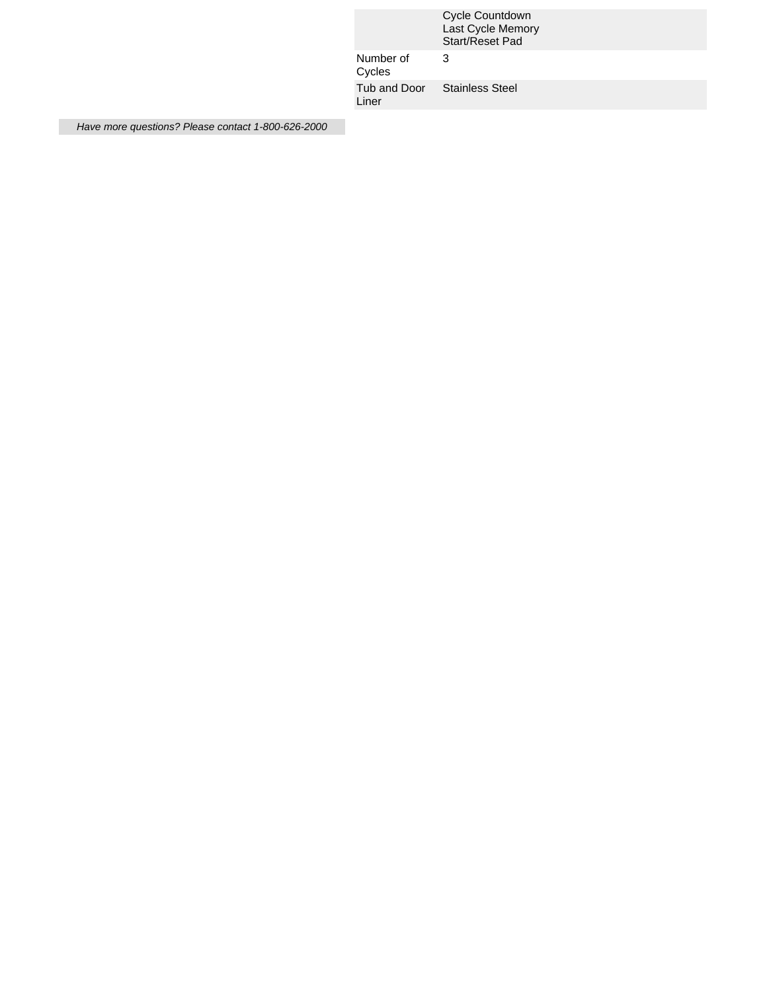|  |                                       | Cycle Countdown<br>Last Cycle Memory<br>Start/Reset Pad |
|--|---------------------------------------|---------------------------------------------------------|
|  | Number of<br>Cycles                   | 3                                                       |
|  | Tub and Door Stainless Steel<br>Liner |                                                         |

Have more questions? Please contact 1-800-626-2000